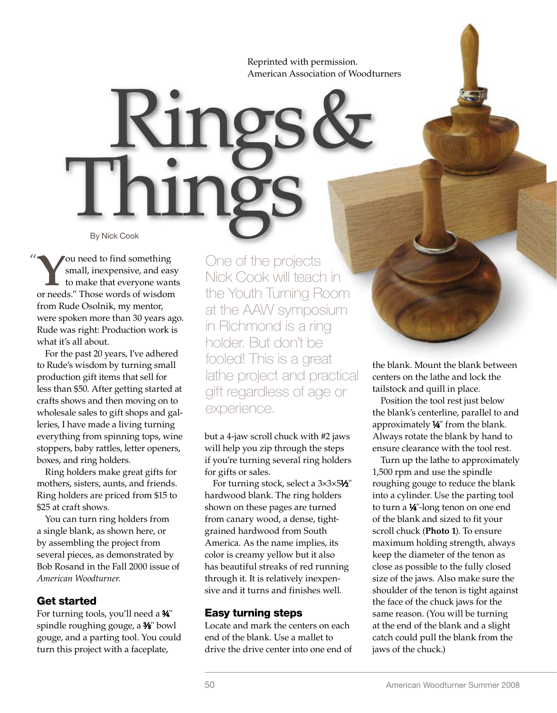Reprinted with permission. American Association of Woodturners

Things By Nick Cook

You need to find something<br>to make that everyone wan<br>or needs "These words of wisdom small, inexpensive, and easy to make that everyone wants or needs." Those words of wisdom from Rude Osolnik, my mentor, were spoken more than 30 years ago. Rude was right: Production work is what it's all about. " ou need to find something One of the projects

For the past 20 years, I've adhered to Rude's wisdom by turning small production gift items that sell for less than \$50. After getting started at crafts shows and then moving on to wholesale sales to gift shops and galleries, I have made a living turning everything from spinning tops, wine stoppers, baby rattles, letter openers, boxes, and ring holders.

Ring holders make great gifts for mothers, sisters, aunts, and friends. Ring holders are priced from \$15 to \$25 at craft shows.

You can turn ring holders from a single blank, as shown here, or by assembling the project from several pieces, as demonstrated by Bob Rosand in the Fall 2000 issue of *American Woodturner*.

## Get started

For turning tools, you'll need a 3⁄4" spindle roughing gouge, a 3⁄8" bowl gouge, and a parting tool. You could turn this project with a faceplate,

Nick Cook will teach in the Youth Turning Room at the AAW symposium in Richmond is a ring holder. But don't be fooled! This is a great lathe project and practical gift regardless of age or experience.

Rings &

but a 4-jaw scroll chuck with #2 jaws will help you zip through the steps if you're turning several ring holders for gifts or sales.

For turning stock, select a 3×3×51⁄2" hardwood blank. The ring holders shown on these pages are turned from canary wood, a dense, tightgrained hardwood from South America. As the name implies, its color is creamy yellow but it also has beautiful streaks of red running through it. It is relatively inexpensive and it turns and finishes well.

## Easy turning steps

Locate and mark the centers on each end of the blank. Use a mallet to drive the drive center into one end of

the blank. Mount the blank between centers on the lathe and lock the tailstock and quill in place.

Position the tool rest just below the blank's centerline, parallel to and approximately 1/4" from the blank. Always rotate the blank by hand to ensure clearance with the tool rest.

Turn up the lathe to approximately 1,500 rpm and use the spindle roughing gouge to reduce the blank into a cylinder. Use the parting tool to turn a 1/4"-long tenon on one end of the blank and sized to fit your scroll chuck (**Photo 1**). To ensure maximum holding strength, always keep the diameter of the tenon as close as possible to the fully closed size of the jaws. Also make sure the shoulder of the tenon is tight against the face of the chuck jaws for the same reason. (You will be turning at the end of the blank and a slight catch could pull the blank from the jaws of the chuck.)